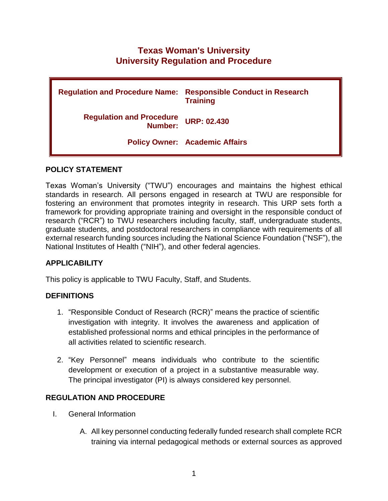# **Texas Woman's University University Regulation and Procedure**

| <b>Regulation and Procedure Name:</b>      | <b>Responsible Conduct in Research</b><br><b>Training</b> |
|--------------------------------------------|-----------------------------------------------------------|
| <b>Regulation and Procedure</b><br>Number: | <b>URP: 02.430</b>                                        |
|                                            | <b>Policy Owner: Academic Affairs</b>                     |

# **POLICY STATEMENT**

Texas Woman's University ("TWU") encourages and maintains the highest ethical standards in research. All persons engaged in research at TWU are responsible for fostering an environment that promotes integrity in research. This URP sets forth a framework for providing appropriate training and oversight in the responsible conduct of research ("RCR") to TWU researchers including faculty, staff, undergraduate students, graduate students, and postdoctoral researchers in compliance with requirements of all external research funding sources including the National Science Foundation ("NSF"), the National Institutes of Health ("NIH"), and other federal agencies.

# **APPLICABILITY**

This policy is applicable to TWU Faculty, Staff, and Students.

# **DEFINITIONS**

- 1. "Responsible Conduct of Research (RCR)" means the practice of scientific investigation with integrity. It involves the awareness and application of established professional norms and ethical principles in the performance of all activities related to scientific research.
- 2. "Key Personnel" means individuals who contribute to the scientific development or execution of a project in a substantive measurable way. The principal investigator (PI) is always considered key personnel.

# **REGULATION AND PROCEDURE**

- I. General Information
	- A. All key personnel conducting federally funded research shall complete RCR training via internal pedagogical methods or external sources as approved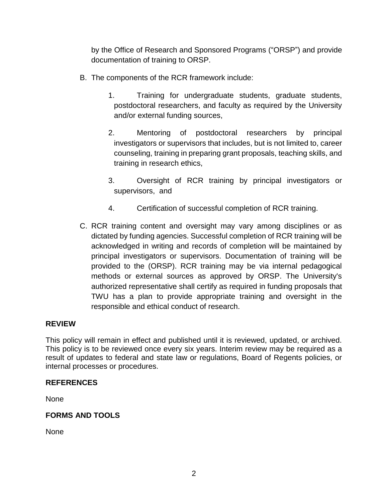by the Office of Research and Sponsored Programs ("ORSP") and provide documentation of training to ORSP.

- B. The components of the RCR framework include:
	- 1. Training for undergraduate students, graduate students, postdoctoral researchers, and faculty as required by the University and/or external funding sources,
	- 2. Mentoring of postdoctoral researchers by principal investigators or supervisors that includes, but is not limited to, career counseling, training in preparing grant proposals, teaching skills, and training in research ethics,
	- 3. Oversight of RCR training by principal investigators or supervisors, and
	- 4. Certification of successful completion of RCR training.
- C. RCR training content and oversight may vary among disciplines or as dictated by funding agencies. Successful completion of RCR training will be acknowledged in writing and records of completion will be maintained by principal investigators or supervisors. Documentation of training will be provided to the (ORSP). RCR training may be via internal pedagogical methods or external sources as approved by ORSP. The University's authorized representative shall certify as required in funding proposals that TWU has a plan to provide appropriate training and oversight in the responsible and ethical conduct of research.

# **REVIEW**

This policy will remain in effect and published until it is reviewed, updated, or archived. This policy is to be reviewed once every six years. Interim review may be required as a result of updates to federal and state law or regulations, Board of Regents policies, or internal processes or procedures.

#### **REFERENCES**

None

# **FORMS AND TOOLS**

None